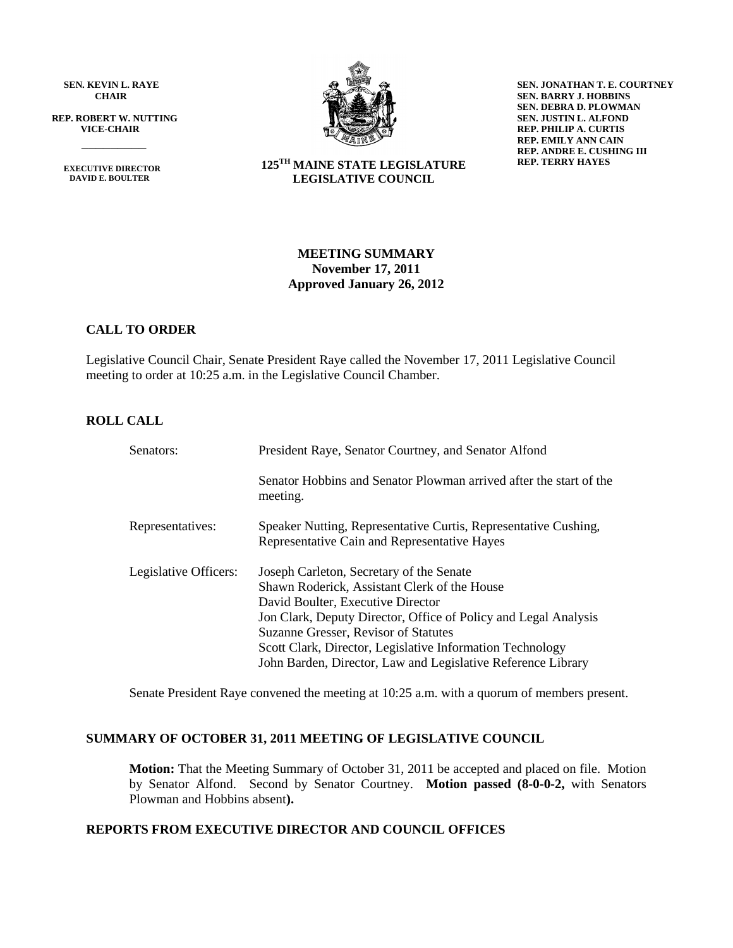**SEN. KEVIN L. RAYE CHAIR**

 **REP. ROBERT W. NUTTING VICE-CHAIR**

 **EXECUTIVE DIRECTOR DAVID E. BOULTER**

 $\frac{1}{\sqrt{2}}$ 



**125TH MAINE STATE LEGISLATURE LEGISLATIVE COUNCIL**

**SEN. JONATHAN T. E. COURTNEY SEN. BARRY J. HOBBINS SEN. DEBRA D. PLOWMAN SEN. JUSTIN L. ALFOND REP. PHILIP A. CURTIS REP. EMILY ANN CAIN REP. ANDRE E. CUSHING III REP. TERRY HAYES**

# **MEETING SUMMARY November 17, 2011 Approved January 26, 2012**

# **CALL TO ORDER**

Legislative Council Chair, Senate President Raye called the November 17, 2011 Legislative Council meeting to order at 10:25 a.m. in the Legislative Council Chamber.

# **ROLL CALL**

| Senators:             | President Raye, Senator Courtney, and Senator Alfond                                                                                                                                                                                                                                                                                                                  |  |  |  |
|-----------------------|-----------------------------------------------------------------------------------------------------------------------------------------------------------------------------------------------------------------------------------------------------------------------------------------------------------------------------------------------------------------------|--|--|--|
|                       | Senator Hobbins and Senator Plowman arrived after the start of the<br>meeting.                                                                                                                                                                                                                                                                                        |  |  |  |
| Representatives:      | Speaker Nutting, Representative Curtis, Representative Cushing,<br>Representative Cain and Representative Hayes                                                                                                                                                                                                                                                       |  |  |  |
| Legislative Officers: | Joseph Carleton, Secretary of the Senate<br>Shawn Roderick, Assistant Clerk of the House<br>David Boulter, Executive Director<br>Jon Clark, Deputy Director, Office of Policy and Legal Analysis<br>Suzanne Gresser, Revisor of Statutes<br>Scott Clark, Director, Legislative Information Technology<br>John Barden, Director, Law and Legislative Reference Library |  |  |  |

Senate President Raye convened the meeting at 10:25 a.m. with a quorum of members present.

#### **SUMMARY OF OCTOBER 31, 2011 MEETING OF LEGISLATIVE COUNCIL**

**Motion:** That the Meeting Summary of October 31, 2011 be accepted and placed on file. Motion by Senator Alfond. Second by Senator Courtney. **Motion passed (8-0-0-2,** with Senators Plowman and Hobbins absent**).**

# **REPORTS FROM EXECUTIVE DIRECTOR AND COUNCIL OFFICES**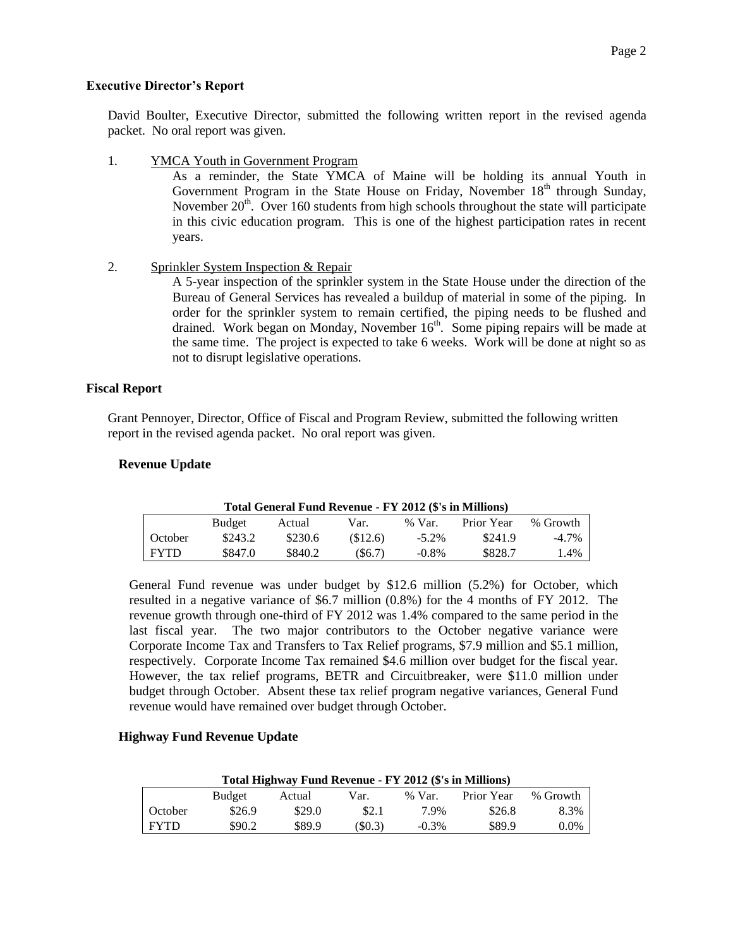# **Executive Director's Report**

David Boulter, Executive Director, submitted the following written report in the revised agenda packet. No oral report was given.

1. YMCA Youth in Government Program

As a reminder, the State YMCA of Maine will be holding its annual Youth in Government Program in the State House on Friday, November 18<sup>th</sup> through Sunday, November  $20<sup>th</sup>$ . Over 160 students from high schools throughout the state will participate in this civic education program. This is one of the highest participation rates in recent years.

2. Sprinkler System Inspection & Repair

A 5-year inspection of the sprinkler system in the State House under the direction of the Bureau of General Services has revealed a buildup of material in some of the piping. In order for the sprinkler system to remain certified, the piping needs to be flushed and drained. Work began on Monday, November 16<sup>th</sup>. Some piping repairs will be made at the same time. The project is expected to take 6 weeks. Work will be done at night so as not to disrupt legislative operations.

# **Fiscal Report**

Grant Pennoyer, Director, Office of Fiscal and Program Review, submitted the following written report in the revised agenda packet. No oral report was given.

# **Revenue Update**

| Total General Fund Revenue - FY 2012 (\$'s in Millions) |         |         |           |          |            |          |  |  |  |
|---------------------------------------------------------|---------|---------|-----------|----------|------------|----------|--|--|--|
|                                                         | Budget  | Actual  | Var.      | $%$ Var. | Prior Year | % Growth |  |  |  |
| October                                                 | \$243.2 | \$230.6 | (S12.6)   | $-5.2\%$ | \$241.9    | $-4.7\%$ |  |  |  |
| <b>FYTD</b>                                             | \$847.0 | \$840.2 | $(\$6.7)$ | $-0.8\%$ | \$828.7    | $.4\%$   |  |  |  |

General Fund revenue was under budget by \$12.6 million (5.2%) for October, which resulted in a negative variance of \$6.7 million (0.8%) for the 4 months of FY 2012. The revenue growth through one-third of FY 2012 was 1.4% compared to the same period in the last fiscal year. The two major contributors to the October negative variance were Corporate Income Tax and Transfers to Tax Relief programs, \$7.9 million and \$5.1 million, respectively. Corporate Income Tax remained \$4.6 million over budget for the fiscal year. However, the tax relief programs, BETR and Circuitbreaker, were \$11.0 million under budget through October. Absent these tax relief program negative variances, General Fund revenue would have remained over budget through October.

# **Highway Fund Revenue Update**

| Total Highway Fund Revenue - FY 2012 (\$'s in Millions) |               |        |        |          |            |          |  |  |  |
|---------------------------------------------------------|---------------|--------|--------|----------|------------|----------|--|--|--|
|                                                         | <b>Budget</b> | Actual | Var.   | $%$ Var. | Prior Year | % Growth |  |  |  |
| October                                                 | \$26.9        | \$29.0 | \$2.1  | 7.9%     | \$26.8     | 8.3%     |  |  |  |
| <b>FYTD</b>                                             | \$90.2        | \$89.9 | (S0.3) | $-0.3\%$ | \$89.9     | $0.0\%$  |  |  |  |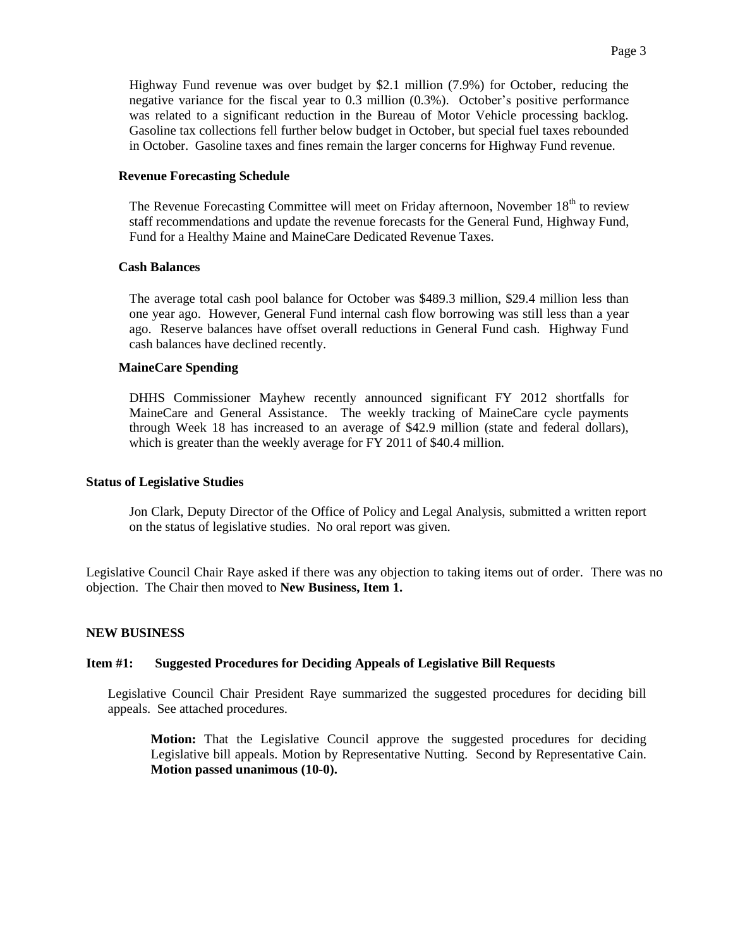Highway Fund revenue was over budget by \$2.1 million (7.9%) for October, reducing the negative variance for the fiscal year to 0.3 million (0.3%). October's positive performance was related to a significant reduction in the Bureau of Motor Vehicle processing backlog. Gasoline tax collections fell further below budget in October, but special fuel taxes rebounded in October. Gasoline taxes and fines remain the larger concerns for Highway Fund revenue.

#### **Revenue Forecasting Schedule**

The Revenue Forecasting Committee will meet on Friday afternoon, November  $18<sup>th</sup>$  to review staff recommendations and update the revenue forecasts for the General Fund, Highway Fund, Fund for a Healthy Maine and MaineCare Dedicated Revenue Taxes.

#### **Cash Balances**

The average total cash pool balance for October was \$489.3 million, \$29.4 million less than one year ago. However, General Fund internal cash flow borrowing was still less than a year ago. Reserve balances have offset overall reductions in General Fund cash. Highway Fund cash balances have declined recently.

#### **MaineCare Spending**

DHHS Commissioner Mayhew recently announced significant FY 2012 shortfalls for MaineCare and General Assistance. The weekly tracking of MaineCare cycle payments through Week 18 has increased to an average of \$42.9 million (state and federal dollars), which is greater than the weekly average for FY 2011 of \$40.4 million.

#### **Status of Legislative Studies**

Jon Clark, Deputy Director of the Office of Policy and Legal Analysis, submitted a written report on the status of legislative studies. No oral report was given.

Legislative Council Chair Raye asked if there was any objection to taking items out of order. There was no objection. The Chair then moved to **New Business, Item 1.**

#### **NEW BUSINESS**

#### **Item #1: Suggested Procedures for Deciding Appeals of Legislative Bill Requests**

Legislative Council Chair President Raye summarized the suggested procedures for deciding bill appeals. See attached procedures.

**Motion:** That the Legislative Council approve the suggested procedures for deciding Legislative bill appeals. Motion by Representative Nutting. Second by Representative Cain. **Motion passed unanimous (10-0).**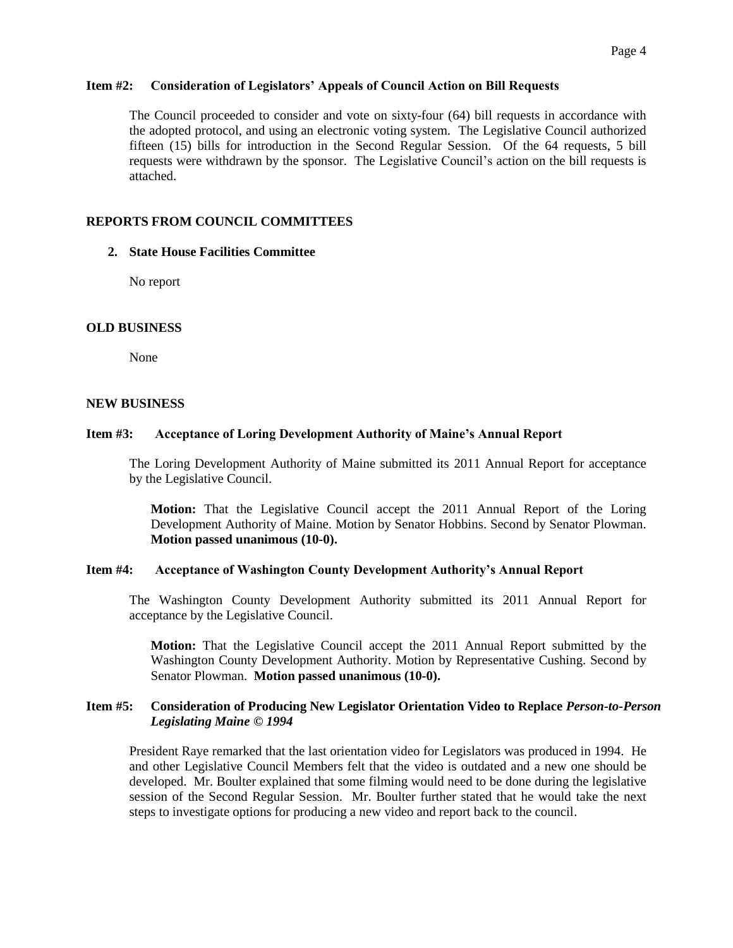#### **Item #2: Consideration of Legislators' Appeals of Council Action on Bill Requests**

The Council proceeded to consider and vote on sixty-four (64) bill requests in accordance with the adopted protocol, and using an electronic voting system. The Legislative Council authorized fifteen (15) bills for introduction in the Second Regular Session. Of the 64 requests, 5 bill requests were withdrawn by the sponsor. The Legislative Council's action on the bill requests is attached.

#### **REPORTS FROM COUNCIL COMMITTEES**

#### **2. State House Facilities Committee**

No report

#### **OLD BUSINESS**

None

#### **NEW BUSINESS**

#### **Item #3: Acceptance of Loring Development Authority of Maine's Annual Report**

The Loring Development Authority of Maine submitted its 2011 Annual Report for acceptance by the Legislative Council.

**Motion:** That the Legislative Council accept the 2011 Annual Report of the Loring Development Authority of Maine. Motion by Senator Hobbins. Second by Senator Plowman. **Motion passed unanimous (10-0).** 

#### **Item #4: Acceptance of Washington County Development Authority's Annual Report**

The Washington County Development Authority submitted its 2011 Annual Report for acceptance by the Legislative Council.

**Motion:** That the Legislative Council accept the 2011 Annual Report submitted by the Washington County Development Authority. Motion by Representative Cushing. Second by Senator Plowman. **Motion passed unanimous (10-0).**

#### **Item #5: Consideration of Producing New Legislator Orientation Video to Replace** *Person-to-Person Legislating Maine* **©** *1994*

President Raye remarked that the last orientation video for Legislators was produced in 1994. He and other Legislative Council Members felt that the video is outdated and a new one should be developed. Mr. Boulter explained that some filming would need to be done during the legislative session of the Second Regular Session. Mr. Boulter further stated that he would take the next steps to investigate options for producing a new video and report back to the council.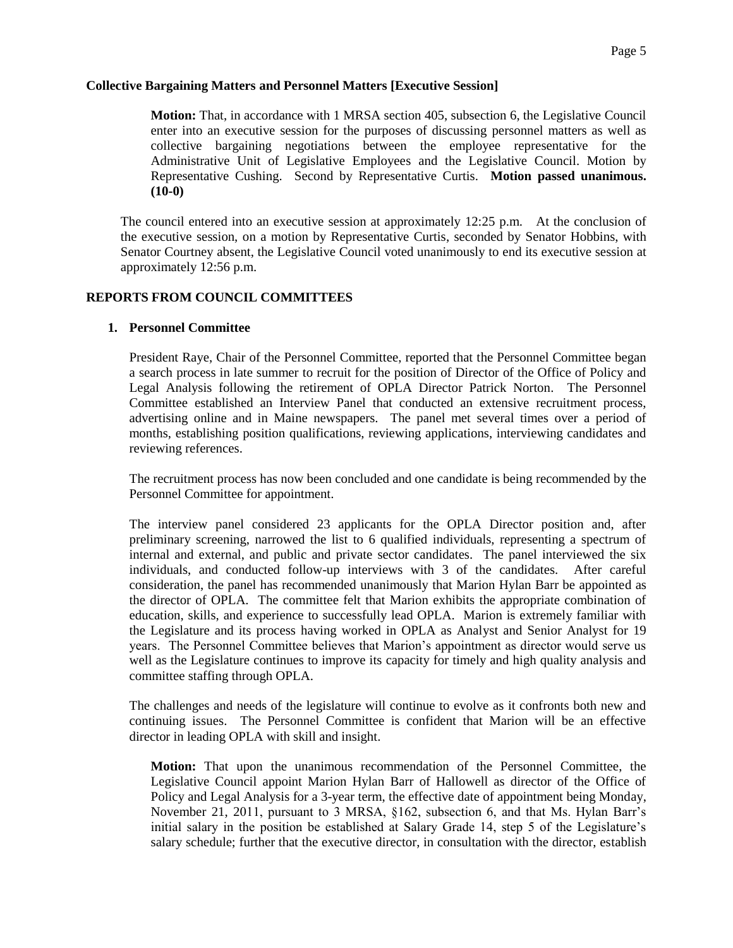# **Collective Bargaining Matters and Personnel Matters [Executive Session]**

**Motion:** That, in accordance with 1 MRSA section 405, subsection 6, the Legislative Council enter into an executive session for the purposes of discussing personnel matters as well as collective bargaining negotiations between the employee representative for the Administrative Unit of Legislative Employees and the Legislative Council. Motion by Representative Cushing. Second by Representative Curtis. **Motion passed unanimous. (10-0)**

The council entered into an executive session at approximately 12:25 p.m. At the conclusion of the executive session, on a motion by Representative Curtis, seconded by Senator Hobbins, with Senator Courtney absent, the Legislative Council voted unanimously to end its executive session at approximately 12:56 p.m.

# **REPORTS FROM COUNCIL COMMITTEES**

#### **1. Personnel Committee**

President Raye, Chair of the Personnel Committee, reported that the Personnel Committee began a search process in late summer to recruit for the position of Director of the Office of Policy and Legal Analysis following the retirement of OPLA Director Patrick Norton. The Personnel Committee established an Interview Panel that conducted an extensive recruitment process, advertising online and in Maine newspapers. The panel met several times over a period of months, establishing position qualifications, reviewing applications, interviewing candidates and reviewing references.

The recruitment process has now been concluded and one candidate is being recommended by the Personnel Committee for appointment.

The interview panel considered 23 applicants for the OPLA Director position and, after preliminary screening, narrowed the list to 6 qualified individuals, representing a spectrum of internal and external, and public and private sector candidates. The panel interviewed the six individuals, and conducted follow-up interviews with 3 of the candidates. After careful consideration, the panel has recommended unanimously that Marion Hylan Barr be appointed as the director of OPLA. The committee felt that Marion exhibits the appropriate combination of education, skills, and experience to successfully lead OPLA. Marion is extremely familiar with the Legislature and its process having worked in OPLA as Analyst and Senior Analyst for 19 years. The Personnel Committee believes that Marion's appointment as director would serve us well as the Legislature continues to improve its capacity for timely and high quality analysis and committee staffing through OPLA.

The challenges and needs of the legislature will continue to evolve as it confronts both new and continuing issues. The Personnel Committee is confident that Marion will be an effective director in leading OPLA with skill and insight.

**Motion:** That upon the unanimous recommendation of the Personnel Committee, the Legislative Council appoint Marion Hylan Barr of Hallowell as director of the Office of Policy and Legal Analysis for a 3-year term, the effective date of appointment being Monday, November 21, 2011, pursuant to 3 MRSA, §162, subsection 6, and that Ms. Hylan Barr's initial salary in the position be established at Salary Grade 14, step 5 of the Legislature's salary schedule; further that the executive director, in consultation with the director, establish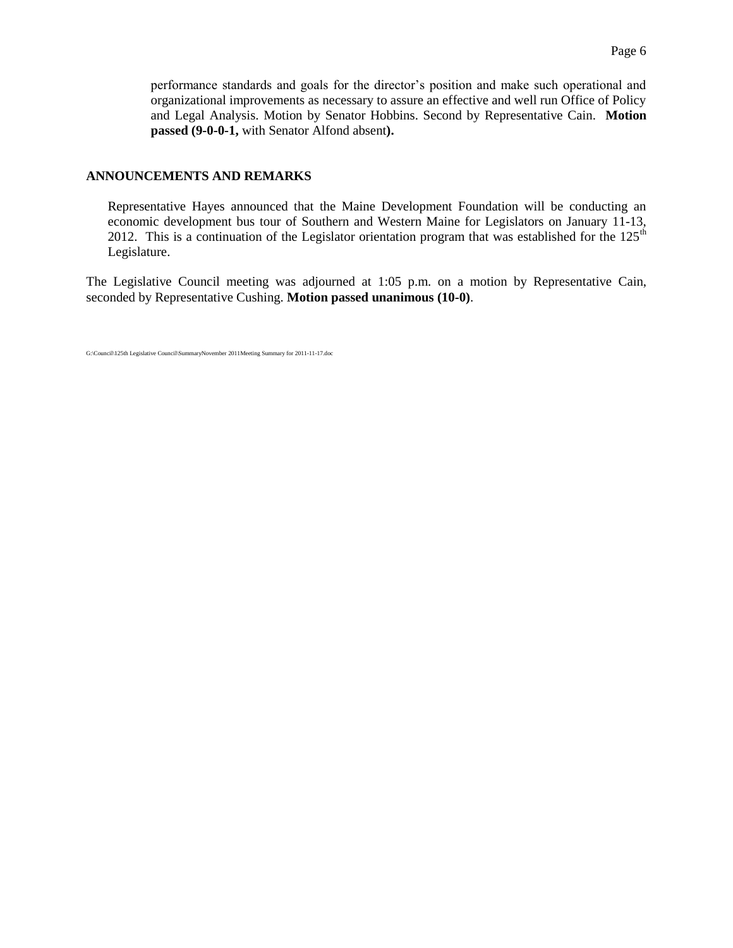#### **ANNOUNCEMENTS AND REMARKS**

Representative Hayes announced that the Maine Development Foundation will be conducting an economic development bus tour of Southern and Western Maine for Legislators on January 11-13, 2012. This is a continuation of the Legislator orientation program that was established for the  $125<sup>th</sup>$ Legislature.

The Legislative Council meeting was adjourned at 1:05 p.m. on a motion by Representative Cain, seconded by Representative Cushing. **Motion passed unanimous (10-0)**.

G:\Council\125th Legislative Council\SummaryNovember 2011Meeting Summary for 2011-11-17.doc